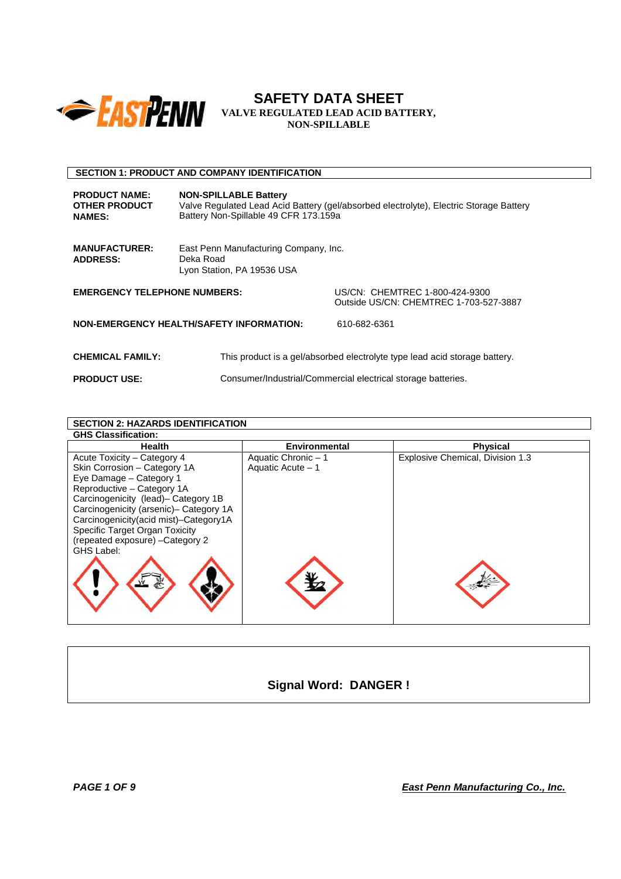

# **SECTION 1: PRODUCT AND COMPANY IDENTIFICATION**

| <b>PRODUCT NAME:</b><br><b>OTHER PRODUCT</b><br><b>NAMES:</b> | <b>NON-SPILLABLE Battery</b><br>Valve Regulated Lead Acid Battery (gel/absorbed electrolyte), Electric Storage Battery<br>Battery Non-Spillable 49 CFR 173.159a |                                                                            |
|---------------------------------------------------------------|-----------------------------------------------------------------------------------------------------------------------------------------------------------------|----------------------------------------------------------------------------|
| <b>MANUFACTURER:</b><br><b>ADDRESS:</b>                       | East Penn Manufacturing Company, Inc.<br>Deka Road<br>Lyon Station, PA 19536 USA                                                                                |                                                                            |
| <b>EMERGENCY TELEPHONE NUMBERS:</b>                           |                                                                                                                                                                 | US/CN: CHEMTREC 1-800-424-9300<br>Outside US/CN: CHEMTREC 1-703-527-3887   |
|                                                               | <b>NON-EMERGENCY HEALTH/SAFETY INFORMATION:</b>                                                                                                                 | 610-682-6361                                                               |
| <b>CHEMICAL FAMILY:</b>                                       |                                                                                                                                                                 | This product is a gel/absorbed electrolyte type lead acid storage battery. |

**PRODUCT USE:** Consumer/Industrial/Commercial electrical storage batteries.

| <b>SECTION 2: HAZARDS IDENTIFICATION</b>                                       |                      |                                  |  |  |  |
|--------------------------------------------------------------------------------|----------------------|----------------------------------|--|--|--|
| <b>GHS Classification:</b>                                                     |                      |                                  |  |  |  |
| <b>Health</b>                                                                  | <b>Environmental</b> | <b>Physical</b>                  |  |  |  |
| Acute Toxicity – Category 4                                                    | Aquatic Chronic - 1  | Explosive Chemical, Division 1.3 |  |  |  |
| Skin Corrosion - Category 1A                                                   | Aquatic Acute - 1    |                                  |  |  |  |
| Eye Damage - Category 1                                                        |                      |                                  |  |  |  |
| Reproductive - Category 1A                                                     |                      |                                  |  |  |  |
| Carcinogenicity (lead)- Category 1B                                            |                      |                                  |  |  |  |
| Carcinogenicity (arsenic)- Category 1A                                         |                      |                                  |  |  |  |
| Carcinogenicity(acid mist)-Category1A<br><b>Specific Target Organ Toxicity</b> |                      |                                  |  |  |  |
| (repeated exposure) - Category 2                                               |                      |                                  |  |  |  |
| GHS Label:                                                                     |                      |                                  |  |  |  |
|                                                                                |                      |                                  |  |  |  |
|                                                                                |                      |                                  |  |  |  |
|                                                                                |                      |                                  |  |  |  |
|                                                                                |                      |                                  |  |  |  |
|                                                                                |                      |                                  |  |  |  |
|                                                                                |                      |                                  |  |  |  |

**Signal Word: DANGER !**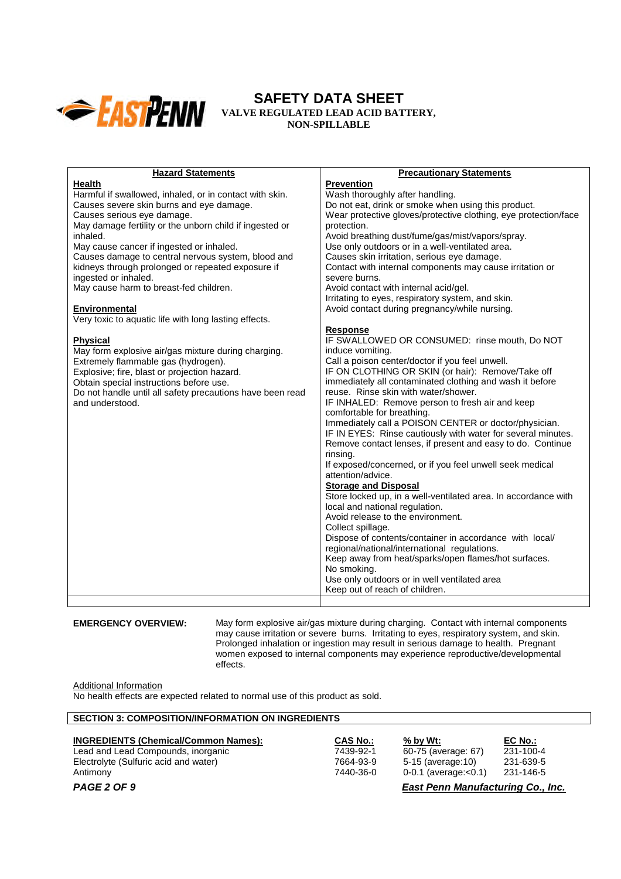

| <b>Hazard Statements</b>                                  | <b>Precautionary Statements</b>                                 |
|-----------------------------------------------------------|-----------------------------------------------------------------|
| Health                                                    | <b>Prevention</b>                                               |
| Harmful if swallowed, inhaled, or in contact with skin.   | Wash thoroughly after handling.                                 |
| Causes severe skin burns and eye damage.                  | Do not eat, drink or smoke when using this product.             |
| Causes serious eye damage.                                | Wear protective gloves/protective clothing, eye protection/face |
| May damage fertility or the unborn child if ingested or   | protection.                                                     |
| inhaled.                                                  | Avoid breathing dust/fume/gas/mist/vapors/spray.                |
| May cause cancer if ingested or inhaled.                  | Use only outdoors or in a well-ventilated area.                 |
| Causes damage to central nervous system, blood and        | Causes skin irritation, serious eye damage.                     |
| kidneys through prolonged or repeated exposure if         | Contact with internal components may cause irritation or        |
| ingested or inhaled.                                      | severe burns.                                                   |
| May cause harm to breast-fed children.                    | Avoid contact with internal acid/gel.                           |
|                                                           | Irritating to eyes, respiratory system, and skin.               |
| Environmental                                             | Avoid contact during pregnancy/while nursing.                   |
| Very toxic to aquatic life with long lasting effects.     |                                                                 |
|                                                           | <b>Response</b>                                                 |
| <b>Physical</b>                                           | IF SWALLOWED OR CONSUMED: rinse mouth, Do NOT                   |
| May form explosive air/gas mixture during charging.       | induce vomiting.                                                |
| Extremely flammable gas (hydrogen).                       | Call a poison center/doctor if you feel unwell.                 |
| Explosive; fire, blast or projection hazard.              | IF ON CLOTHING OR SKIN (or hair): Remove/Take off               |
| Obtain special instructions before use.                   | immediately all contaminated clothing and wash it before        |
| Do not handle until all safety precautions have been read | reuse. Rinse skin with water/shower.                            |
| and understood.                                           | IF INHALED: Remove person to fresh air and keep                 |
|                                                           | comfortable for breathing.                                      |
|                                                           | Immediately call a POISON CENTER or doctor/physician.           |
|                                                           | IF IN EYES: Rinse cautiously with water for several minutes.    |
|                                                           | Remove contact lenses, if present and easy to do. Continue      |
|                                                           | rinsing.                                                        |
|                                                           | If exposed/concerned, or if you feel unwell seek medical        |
|                                                           | attention/advice.                                               |
|                                                           | <b>Storage and Disposal</b>                                     |
|                                                           | Store locked up, in a well-ventilated area. In accordance with  |
|                                                           | local and national regulation.                                  |
|                                                           | Avoid release to the environment.                               |
|                                                           | Collect spillage.                                               |
|                                                           | Dispose of contents/container in accordance with local/         |
|                                                           | regional/national/international regulations.                    |
|                                                           | Keep away from heat/sparks/open flames/hot surfaces.            |
|                                                           | No smoking.                                                     |
|                                                           | Use only outdoors or in well ventilated area                    |
|                                                           | Keep out of reach of children.                                  |
|                                                           |                                                                 |
|                                                           |                                                                 |

**EMERGENCY OVERVIEW:** May form explosive air/gas mixture during charging. Contact with internal components may cause irritation or severe burns. Irritating to eyes, respiratory system, and skin. Prolonged inhalation or ingestion may result in serious damage to health. Pregnant women exposed to internal components may experience reproductive/developmental effects.

Additional Information

No health effects are expected related to normal use of this product as sold.

# **SECTION 3: COMPOSITION/INFORMATION ON INGREDIENTS**

| <b>INGREDIENTS (Chemical/Common Names):</b> | <b>CAS No.:</b> | $%$ by Wt:                               | EC No.:   |
|---------------------------------------------|-----------------|------------------------------------------|-----------|
| Lead and Lead Compounds, inorganic          | 7439-92-1       | 60-75 (average: 67)                      | 231-100-4 |
| Electrolyte (Sulfuric acid and water)       | 7664-93-9       | 5-15 (average: 10)                       | 231-639-5 |
| Antimony                                    | 7440-36-0       | 0-0.1 (average: $< 0.1$ )                | 231-146-5 |
| PAGE 2 OF 9                                 |                 | <b>East Penn Manufacturing Co., Inc.</b> |           |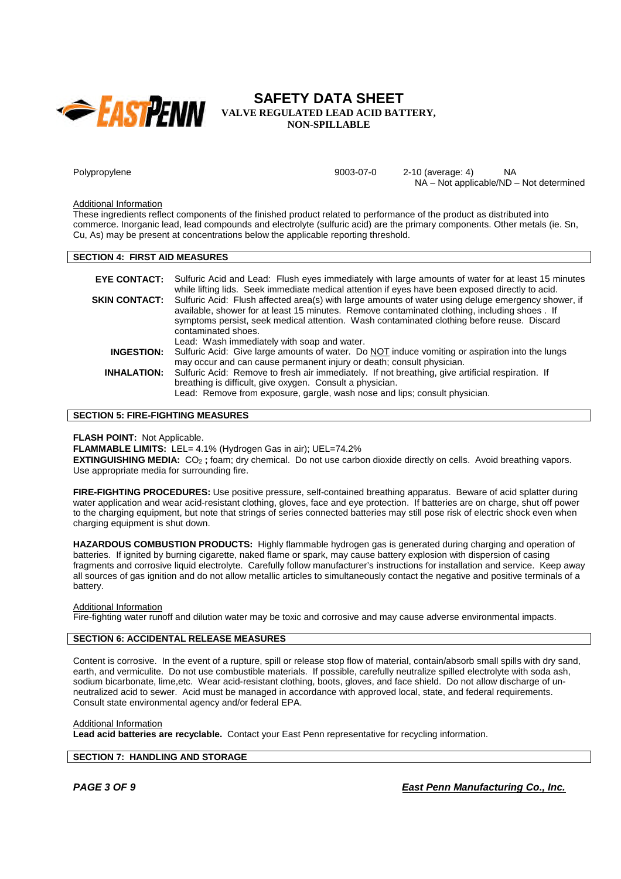

Polypropylene **9003-07-0** 9003-07-0 2-10 (average: 4) NA NA – Not applicable/ND – Not determined

#### Additional Information

These ingredients reflect components of the finished product related to performance of the product as distributed into commerce. Inorganic lead, lead compounds and electrolyte (sulfuric acid) are the primary components. Other metals (ie. Sn, Cu, As) may be present at concentrations below the applicable reporting threshold.

## **SECTION 4: FIRST AID MEASURES**

|                    | <b>EYE CONTACT:</b> Sulfuric Acid and Lead: Flush eyes immediately with large amounts of water for at least 15 minutes<br>while lifting lids. Seek immediate medical attention if eyes have been exposed directly to acid.                                                                                               |
|--------------------|--------------------------------------------------------------------------------------------------------------------------------------------------------------------------------------------------------------------------------------------------------------------------------------------------------------------------|
| SKIN CONTACT:      | Sulfuric Acid: Flush affected area(s) with large amounts of water using deluge emergency shower, if<br>available, shower for at least 15 minutes. Remove contaminated clothing, including shoes. If<br>symptoms persist, seek medical attention. Wash contaminated clothing before reuse. Discard<br>contaminated shoes. |
|                    | Lead: Wash immediately with soap and water.                                                                                                                                                                                                                                                                              |
| <b>INGESTION:</b>  | Sulfuric Acid: Give large amounts of water. Do NOT induce vomiting or aspiration into the lungs<br>may occur and can cause permanent injury or death; consult physician.                                                                                                                                                 |
| <b>INHALATION:</b> | Sulfuric Acid: Remove to fresh air immediately. If not breathing, give artificial respiration. If<br>breathing is difficult, give oxygen. Consult a physician.<br>Lead: Remove from exposure, gargle, wash nose and lips; consult physician.                                                                             |

#### **SECTION 5: FIRE-FIGHTING MEASURES**

#### **FLASH POINT:** Not Applicable.

**FLAMMABLE LIMITS:** LEL= 4.1% (Hydrogen Gas in air); UEL=74.2%

**EXTINGUISHING MEDIA:** CO<sub>2</sub>; foam; dry chemical. Do not use carbon dioxide directly on cells. Avoid breathing vapors. Use appropriate media for surrounding fire.

**FIRE-FIGHTING PROCEDURES:** Use positive pressure, self-contained breathing apparatus. Beware of acid splatter during water application and wear acid-resistant clothing, gloves, face and eye protection. If batteries are on charge, shut off power to the charging equipment, but note that strings of series connected batteries may still pose risk of electric shock even when charging equipment is shut down.

**HAZARDOUS COMBUSTION PRODUCTS:** Highly flammable hydrogen gas is generated during charging and operation of batteries. If ignited by burning cigarette, naked flame or spark, may cause battery explosion with dispersion of casing fragments and corrosive liquid electrolyte. Carefully follow manufacturer's instructions for installation and service. Keep away all sources of gas ignition and do not allow metallic articles to simultaneously contact the negative and positive terminals of a battery.

#### Additional Information

Fire-fighting water runoff and dilution water may be toxic and corrosive and may cause adverse environmental impacts.

## **SECTION 6: ACCIDENTAL RELEASE MEASURES**

Content is corrosive. In the event of a rupture, spill or release stop flow of material, contain/absorb small spills with dry sand, earth, and vermiculite. Do not use combustible materials. If possible, carefully neutralize spilled electrolyte with soda ash, sodium bicarbonate, lime,etc. Wear acid-resistant clothing, boots, gloves, and face shield. Do not allow discharge of unneutralized acid to sewer. Acid must be managed in accordance with approved local, state, and federal requirements. Consult state environmental agency and/or federal EPA.

#### Additional Information

**Lead acid batteries are recyclable.** Contact your East Penn representative for recycling information.

## **SECTION 7: HANDLING AND STORAGE**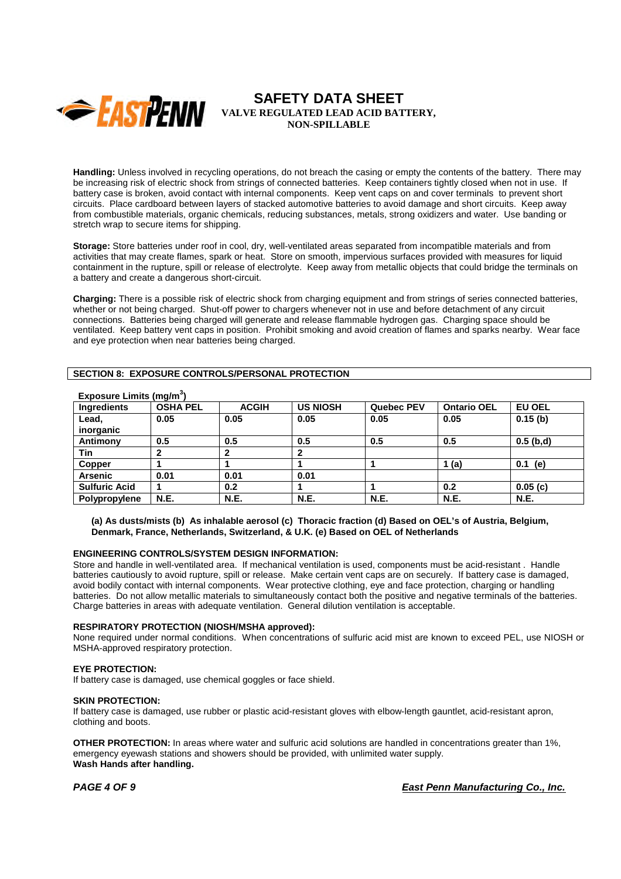

**Handling:** Unless involved in recycling operations, do not breach the casing or empty the contents of the battery. There may be increasing risk of electric shock from strings of connected batteries. Keep containers tightly closed when not in use. If battery case is broken, avoid contact with internal components. Keep vent caps on and cover terminals to prevent short circuits. Place cardboard between layers of stacked automotive batteries to avoid damage and short circuits. Keep away from combustible materials, organic chemicals, reducing substances, metals, strong oxidizers and water. Use banding or stretch wrap to secure items for shipping.

**Storage:** Store batteries under roof in cool, dry, well-ventilated areas separated from incompatible materials and from activities that may create flames, spark or heat. Store on smooth, impervious surfaces provided with measures for liquid containment in the rupture, spill or release of electrolyte. Keep away from metallic objects that could bridge the terminals on a battery and create a dangerous short-circuit.

**Charging:** There is a possible risk of electric shock from charging equipment and from strings of series connected batteries, whether or not being charged. Shut-off power to chargers whenever not in use and before detachment of any circuit connections. Batteries being charged will generate and release flammable hydrogen gas. Charging space should be ventilated. Keep battery vent caps in position. Prohibit smoking and avoid creation of flames and sparks nearby. Wear face and eye protection when near batteries being charged.

## **SECTION 8: EXPOSURE CONTROLS/PERSONAL PROTECTION**

| LANUSUIG LIIIIIIS (IIIY/III |                 |              |                 |            |                    |               |
|-----------------------------|-----------------|--------------|-----------------|------------|--------------------|---------------|
| <b>Ingredients</b>          | <b>OSHA PEL</b> | <b>ACGIH</b> | <b>US NIOSH</b> | Quebec PEV | <b>Ontario OEL</b> | <b>EU OEL</b> |
| Lead,<br>inorganic          | 0.05            | 0.05         | 0.05            | 0.05       | 0.05               | 0.15(b)       |
| Antimony                    | 0.5             | 0.5          | 0.5             | 0.5        | 0.5                | $0.5$ (b,d)   |
| Tin                         | 2               | 2            |                 |            |                    |               |
| Copper                      |                 |              |                 |            | 1(a)               | (e)<br>0.1    |
| <b>Arsenic</b>              | 0.01            | 0.01         | 0.01            |            |                    |               |
| <b>Sulfuric Acid</b>        |                 | 0.2          |                 |            | 0.2                | 0.05(c)       |
| Polypropylene               | <b>N.E.</b>     | <b>N.E.</b>  | <b>N.E.</b>     | N.E.       | <b>N.E.</b>        | <b>N.E.</b>   |
|                             |                 |              |                 |            |                    |               |

# **Exposure Limits (mg/m<sup>3</sup> )**

**(a) As dusts/mists (b) As inhalable aerosol (c) Thoracic fraction (d) Based on OEL's of Austria, Belgium, Denmark, France, Netherlands, Switzerland, & U.K. (e) Based on OEL of Netherlands**

## **ENGINEERING CONTROLS/SYSTEM DESIGN INFORMATION:**

Store and handle in well-ventilated area. If mechanical ventilation is used, components must be acid-resistant . Handle batteries cautiously to avoid rupture, spill or release. Make certain vent caps are on securely. If battery case is damaged, avoid bodily contact with internal components. Wear protective clothing, eye and face protection, charging or handling batteries. Do not allow metallic materials to simultaneously contact both the positive and negative terminals of the batteries. Charge batteries in areas with adequate ventilation. General dilution ventilation is acceptable.

#### **RESPIRATORY PROTECTION (NIOSH/MSHA approved):**

None required under normal conditions. When concentrations of sulfuric acid mist are known to exceed PEL, use NIOSH or MSHA-approved respiratory protection.

## **EYE PROTECTION:**

If battery case is damaged, use chemical goggles or face shield.

#### **SKIN PROTECTION:**

If battery case is damaged, use rubber or plastic acid-resistant gloves with elbow-length gauntlet, acid-resistant apron, clothing and boots.

**OTHER PROTECTION:** In areas where water and sulfuric acid solutions are handled in concentrations greater than 1%, emergency eyewash stations and showers should be provided, with unlimited water supply. **Wash Hands after handling.**

*PAGE 4 OF 9 East Penn Manufacturing Co., Inc.*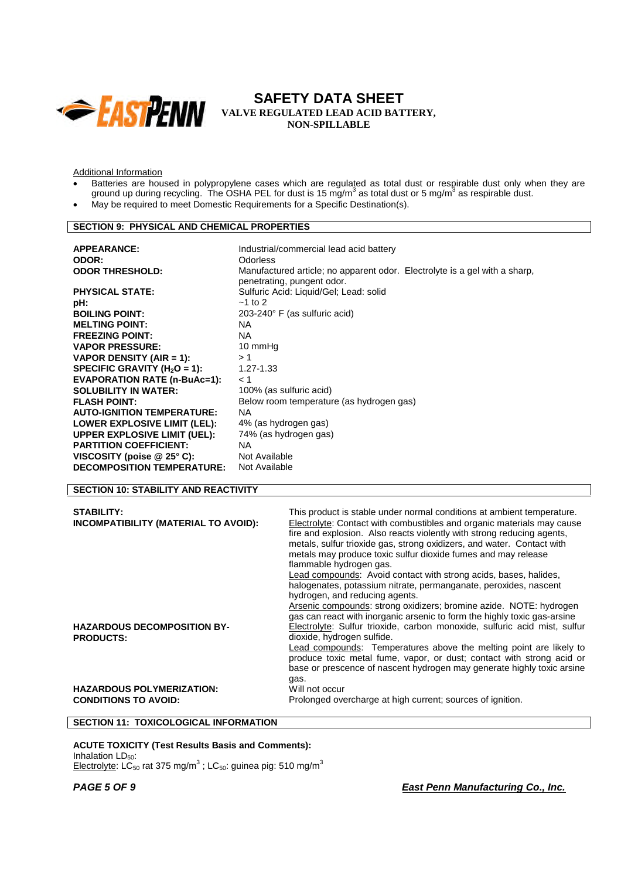

Additional Information

- Batteries are housed in polypropylene cases which are regulated as total dust or respirable dust only when they are ground up during recycling. The OSHA PEL for dust is 15 mg/m<sup>3</sup> as total dust or 5 mg/m<sup>3</sup> as respirable dust.
- May be required to meet Domestic Requirements for a Specific Destination(s).

## **SECTION 9: PHYSICAL AND CHEMICAL PROPERTIES**

| <b>APPEARANCE:</b>                  | Industrial/commercial lead acid battery                                                                  |
|-------------------------------------|----------------------------------------------------------------------------------------------------------|
| ODOR:                               | <b>Odorless</b>                                                                                          |
| <b>ODOR THRESHOLD:</b>              | Manufactured article; no apparent odor. Electrolyte is a gel with a sharp,<br>penetrating, pungent odor. |
| <b>PHYSICAL STATE:</b>              | Sulfuric Acid: Liquid/Gel; Lead: solid                                                                   |
| pH:                                 | $~1$ to 2                                                                                                |
| <b>BOILING POINT:</b>               | $203 - 240^\circ$ F (as sulfuric acid)                                                                   |
| <b>MELTING POINT:</b>               | NA.                                                                                                      |
| <b>FREEZING POINT:</b>              | NA.                                                                                                      |
| <b>VAPOR PRESSURE:</b>              | 10 mmHg                                                                                                  |
| VAPOR DENSITY (AIR = 1):            | >1                                                                                                       |
| SPECIFIC GRAVITY ( $H_2O = 1$ ):    | $1.27 - 1.33$                                                                                            |
| <b>EVAPORATION RATE (n-BuAc=1):</b> | < 1                                                                                                      |
| <b>SOLUBILITY IN WATER:</b>         | 100% (as sulfuric acid)                                                                                  |
| <b>FLASH POINT:</b>                 | Below room temperature (as hydrogen gas)                                                                 |
| <b>AUTO-IGNITION TEMPERATURE:</b>   | NA.                                                                                                      |
| LOWER EXPLOSIVE LIMIT (LEL):        | 4% (as hydrogen gas)                                                                                     |
| UPPER EXPLOSIVE LIMIT (UEL):        | 74% (as hydrogen gas)                                                                                    |
| <b>PARTITION COEFFICIENT:</b>       | NA.                                                                                                      |
| VISCOSITY (poise $@25°$ C):         | Not Available                                                                                            |
| <b>DECOMPOSITION TEMPERATURE:</b>   | Not Available                                                                                            |
|                                     |                                                                                                          |

# **SECTION 10: STABILITY AND REACTIVITY**

| <b>STABILITY:</b><br>INCOMPATIBILITY (MATERIAL TO AVOID):       | This product is stable under normal conditions at ambient temperature.<br>Electrolyte: Contact with combustibles and organic materials may cause<br>fire and explosion. Also reacts violently with strong reducing agents,<br>metals, sulfur trioxide gas, strong oxidizers, and water. Contact with<br>metals may produce toxic sulfur dioxide fumes and may release<br>flammable hydrogen gas.<br>Lead compounds: Avoid contact with strong acids, bases, halides,<br>halogenates, potassium nitrate, permanganate, peroxides, nascent |  |
|-----------------------------------------------------------------|------------------------------------------------------------------------------------------------------------------------------------------------------------------------------------------------------------------------------------------------------------------------------------------------------------------------------------------------------------------------------------------------------------------------------------------------------------------------------------------------------------------------------------------|--|
| <b>HAZARDOUS DECOMPOSITION BY-</b><br><b>PRODUCTS:</b>          | hydrogen, and reducing agents.<br>Arsenic compounds: strong oxidizers; bromine azide. NOTE: hydrogen<br>gas can react with inorganic arsenic to form the highly toxic gas-arsine<br>Electrolyte: Sulfur trioxide, carbon monoxide, sulfuric acid mist, sulfur<br>dioxide, hydrogen sulfide.<br>Lead compounds: Temperatures above the melting point are likely to<br>produce toxic metal fume, vapor, or dust; contact with strong acid or<br>base or prescence of nascent hydrogen may generate highly toxic arsine<br>gas.             |  |
| <b>HAZARDOUS POLYMERIZATION:</b><br><b>CONDITIONS TO AVOID:</b> | Will not occur<br>Prolonged overcharge at high current; sources of ignition.                                                                                                                                                                                                                                                                                                                                                                                                                                                             |  |

## **SECTION 11: TOXICOLOGICAL INFORMATION**

**ACUTE TOXICITY (Test Results Basis and Comments):** Inhalation  $LD_{50}$ :

Electrolyte: LC<sub>50</sub> rat 375 mg/m<sup>3</sup>; LC<sub>50</sub>: guinea pig: 510 mg/m<sup>3</sup>

*PAGE 5 OF 9 East Penn Manufacturing Co., Inc.*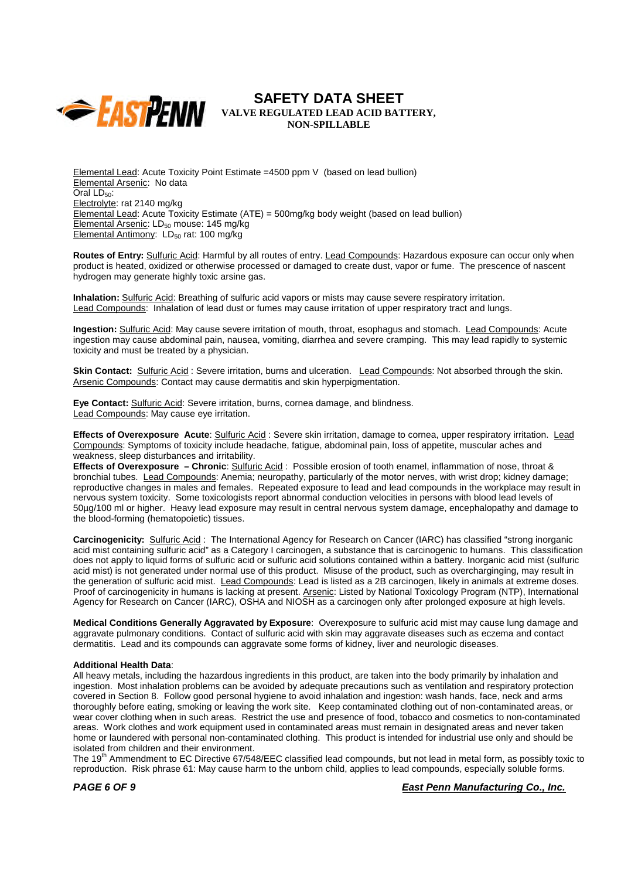

Elemental Lead: Acute Toxicity Point Estimate =4500 ppm V (based on lead bullion) Elemental Arsenic: No data Oral  $LD_{50}$ : Electrolyte: rat 2140 mg/kg Elemental Lead: Acute Toxicity Estimate (ATE) = 500mg/kg body weight (based on lead bullion) Elemental Arsenic: LD<sub>50</sub> mouse: 145 mg/kg Elemental Antimony:  $LD_{50}$  rat: 100 mg/ $kg$ 

**Routes of Entry:** Sulfuric Acid: Harmful by all routes of entry. Lead Compounds: Hazardous exposure can occur only when product is heated, oxidized or otherwise processed or damaged to create dust, vapor or fume. The prescence of nascent hydrogen may generate highly toxic arsine gas.

**Inhalation:** Sulfuric Acid: Breathing of sulfuric acid vapors or mists may cause severe respiratory irritation. Lead Compounds: Inhalation of lead dust or fumes may cause irritation of upper respiratory tract and lungs.

**Ingestion:** Sulfuric Acid: May cause severe irritation of mouth, throat, esophagus and stomach. Lead Compounds: Acute ingestion may cause abdominal pain, nausea, vomiting, diarrhea and severe cramping. This may lead rapidly to systemic toxicity and must be treated by a physician.

**Skin Contact:** Sulfuric Acid : Severe irritation, burns and ulceration. Lead Compounds: Not absorbed through the skin. Arsenic Compounds: Contact may cause dermatitis and skin hyperpigmentation.

**Eye Contact:** Sulfuric Acid: Severe irritation, burns, cornea damage, and blindness. Lead Compounds: May cause eye irritation.

**Effects of Overexposure Acute**: Sulfuric Acid : Severe skin irritation, damage to cornea, upper respiratory irritation. Lead Compounds: Symptoms of toxicity include headache, fatigue, abdominal pain, loss of appetite, muscular aches and weakness, sleep disturbances and irritability.

**Effects of Overexposure – Chronic**: Sulfuric Acid : Possible erosion of tooth enamel, inflammation of nose, throat & bronchial tubes. Lead Compounds: Anemia; neuropathy, particularly of the motor nerves, with wrist drop; kidney damage; reproductive changes in males and females. Repeated exposure to lead and lead compounds in the workplace may result in nervous system toxicity. Some toxicologists report abnormal conduction velocities in persons with blood lead levels of 50µg/100 ml or higher. Heavy lead exposure may result in central nervous system damage, encephalopathy and damage to the blood-forming (hematopoietic) tissues.

**Carcinogenicity:** Sulfuric Acid : The International Agency for Research on Cancer (IARC) has classified "strong inorganic acid mist containing sulfuric acid" as a Category I carcinogen, a substance that is carcinogenic to humans. This classification does not apply to liquid forms of sulfuric acid or sulfuric acid solutions contained within a battery. Inorganic acid mist (sulfuric acid mist) is not generated under normal use of this product. Misuse of the product, such as overcharginging, may result in the generation of sulfuric acid mist. Lead Compounds: Lead is listed as a 2B carcinogen, likely in animals at extreme doses. Proof of carcinogenicity in humans is lacking at present. Arsenic: Listed by National Toxicology Program (NTP), International Agency for Research on Cancer (IARC), OSHA and NIOSH as a carcinogen only after prolonged exposure at high levels.

**Medical Conditions Generally Aggravated by Exposure**: Overexposure to sulfuric acid mist may cause lung damage and aggravate pulmonary conditions. Contact of sulfuric acid with skin may aggravate diseases such as eczema and contact dermatitis. Lead and its compounds can aggravate some forms of kidney, liver and neurologic diseases.

## **Additional Health Data**:

All heavy metals, including the hazardous ingredients in this product, are taken into the body primarily by inhalation and ingestion. Most inhalation problems can be avoided by adequate precautions such as ventilation and respiratory protection covered in Section 8. Follow good personal hygiene to avoid inhalation and ingestion: wash hands, face, neck and arms thoroughly before eating, smoking or leaving the work site. Keep contaminated clothing out of non-contaminated areas, or wear cover clothing when in such areas. Restrict the use and presence of food, tobacco and cosmetics to non-contaminated areas. Work clothes and work equipment used in contaminated areas must remain in designated areas and never taken home or laundered with personal non-contaminated clothing. This product is intended for industrial use only and should be isolated from children and their environment.

The 19<sup>th</sup> Ammendment to EC Directive 67/548/EEC classified lead compounds, but not lead in metal form, as possibly toxic to reproduction. Risk phrase 61: May cause harm to the unborn child, applies to lead compounds, especially soluble forms.

*PAGE 6 OF 9 East Penn Manufacturing Co., Inc.*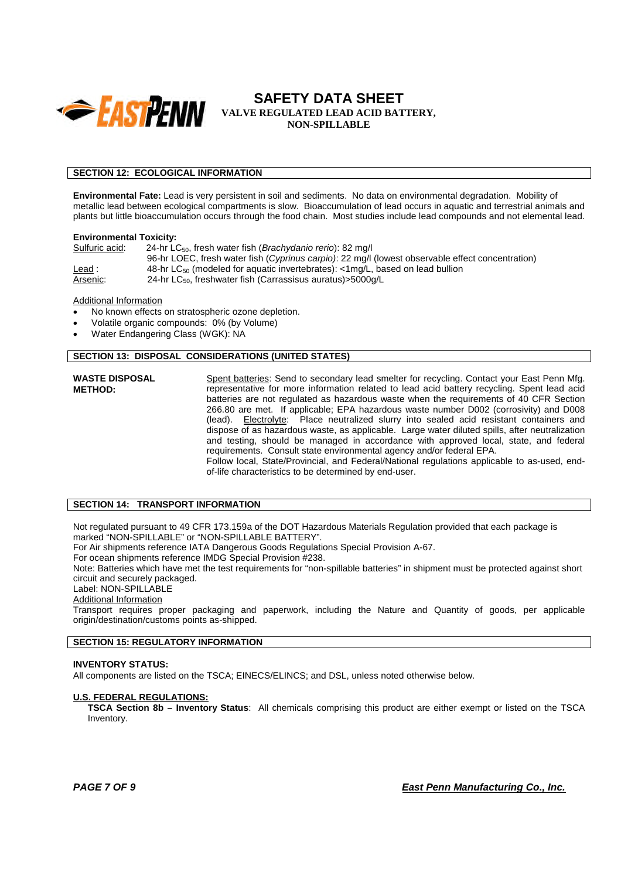

## **SECTION 12: ECOLOGICAL INFORMATION**

**Environmental Fate:** Lead is very persistent in soil and sediments. No data on environmental degradation. Mobility of metallic lead between ecological compartments is slow. Bioaccumulation of lead occurs in aquatic and terrestrial animals and plants but little bioaccumulation occurs through the food chain. Most studies include lead compounds and not elemental lead.

#### **Environmental Toxicity:**

Sulfuric acid: 24-hr LC50, fresh water fish (*Brachydanio rerio*): 82 mg/l 96-hr LOEC, fresh water fish (*Cyprinus carpio)*: 22 mg/l (lowest observable effect concentration) Lead : 48-hr LC<sub>50</sub> (modeled for aquatic invertebrates): <1mg/L, based on lead bullion  $\overline{\text{Arsenic:}}$  24-hr LC<sub>50</sub>, freshwater fish (Carrassisus auratus)>5000g/L

## Additional Information

- No known effects on stratospheric ozone depletion.
- Volatile organic compounds: 0% (by Volume)
- Water Endangering Class (WGK): NA

# **SECTION 13: DISPOSAL CONSIDERATIONS (UNITED STATES)**

**WASTE DISPOSAL METHOD:** Spent batteries: Send to secondary lead smelter for recycling. Contact your East Penn Mfg. representative for more information related to lead acid battery recycling. Spent lead acid batteries are not regulated as hazardous waste when the requirements of 40 CFR Section 266.80 are met. If applicable; EPA hazardous waste number D002 (corrosivity) and D008 (lead). Electrolyte: Place neutralized slurry into sealed acid resistant containers and dispose of as hazardous waste, as applicable. Large water diluted spills, after neutralization and testing, should be managed in accordance with approved local, state, and federal requirements. Consult state environmental agency and/or federal EPA. Follow local, State/Provincial, and Federal/National regulations applicable to as-used, endof-life characteristics to be determined by end-user.

## **SECTION 14: TRANSPORT INFORMATION**

Not regulated pursuant to 49 CFR 173.159a of the DOT Hazardous Materials Regulation provided that each package is marked "NON-SPILLABLE" or "NON-SPILLABLE BATTERY".

For Air shipments reference IATA Dangerous Goods Regulations Special Provision A-67.

For ocean shipments reference IMDG Special Provision #238.

Note: Batteries which have met the test requirements for "non-spillable batteries" in shipment must be protected against short circuit and securely packaged.

# Label: NON-SPILLABLE

Additional Information

Transport requires proper packaging and paperwork, including the Nature and Quantity of goods, per applicable origin/destination/customs points as-shipped.

#### **SECTION 15: REGULATORY INFORMATION**

#### **INVENTORY STATUS:**

All components are listed on the TSCA; EINECS/ELINCS; and DSL, unless noted otherwise below.

## **U.S. FEDERAL REGULATIONS:**

**TSCA Section 8b – Inventory Status**: All chemicals comprising this product are either exempt or listed on the TSCA Inventory.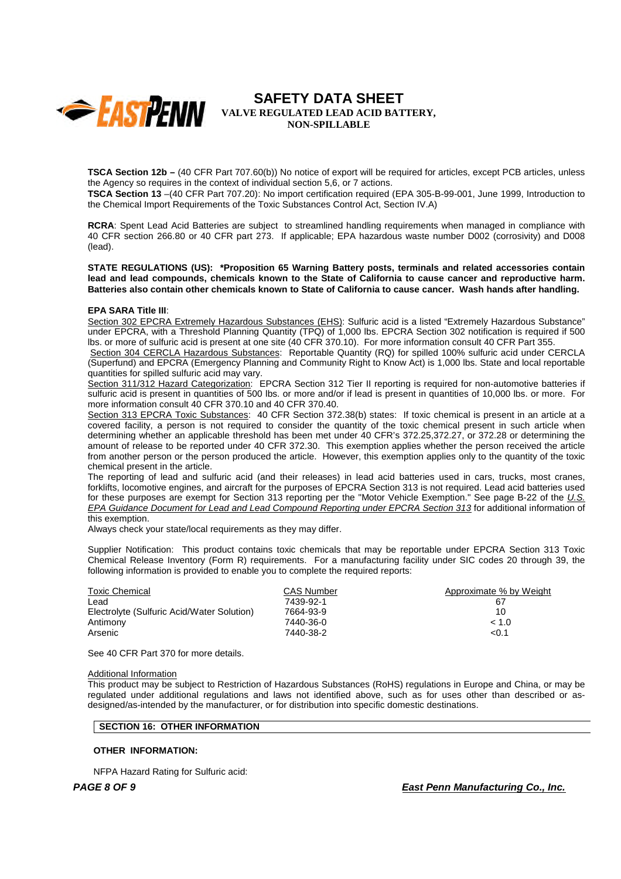

**TSCA Section 12b –** (40 CFR Part 707.60(b)) No notice of export will be required for articles, except PCB articles, unless the Agency so requires in the context of individual section 5,6, or 7 actions.

**TSCA Section 13** –(40 CFR Part 707.20): No import certification required (EPA 305-B-99-001, June 1999, Introduction to the Chemical Import Requirements of the Toxic Substances Control Act, Section IV.A)

**RCRA**: Spent Lead Acid Batteries are subject to streamlined handling requirements when managed in compliance with 40 CFR section 266.80 or 40 CFR part 273. If applicable; EPA hazardous waste number D002 (corrosivity) and D008 (lead).

**STATE REGULATIONS (US): \*Proposition 65 Warning Battery posts, terminals and related accessories contain lead and lead compounds, chemicals known to the State of California to cause cancer and reproductive harm. Batteries also contain other chemicals known to State of California to cause cancer. Wash hands after handling.**

#### **EPA SARA Title III**:

Section 302 EPCRA Extremely Hazardous Substances (EHS): Sulfuric acid is a listed "Extremely Hazardous Substance" under EPCRA, with a Threshold Planning Quantity (TPQ) of 1,000 lbs. EPCRA Section 302 notification is required if 500 lbs. or more of sulfuric acid is present at one site (40 CFR 370.10). For more information consult 40 CFR Part 355.

Section 304 CERCLA Hazardous Substances: Reportable Quantity (RQ) for spilled 100% sulfuric acid under CERCLA (Superfund) and EPCRA (Emergency Planning and Community Right to Know Act) is 1,000 lbs. State and local reportable quantities for spilled sulfuric acid may vary.

Section 311/312 Hazard Categorization: EPCRA Section 312 Tier II reporting is required for non-automotive batteries if sulfuric acid is present in quantities of 500 lbs. or more and/or if lead is present in quantities of 10,000 lbs. or more. For more information consult 40 CFR 370.10 and 40 CFR 370.40.

Section 313 EPCRA Toxic Substances: 40 CFR Section 372.38(b) states: If toxic chemical is present in an article at a covered facility, a person is not required to consider the quantity of the toxic chemical present in such article when determining whether an applicable threshold has been met under 40 CFR's 372.25,372.27, or 372.28 or determining the amount of release to be reported under 40 CFR 372.30. This exemption applies whether the person received the article from another person or the person produced the article. However, this exemption applies only to the quantity of the toxic chemical present in the article.

The reporting of lead and sulfuric acid (and their releases) in lead acid batteries used in cars, trucks, most cranes, forklifts, locomotive engines, and aircraft for the purposes of EPCRA Section 313 is not required. Lead acid batteries used for these purposes are exempt for Section 313 reporting per the "Motor Vehicle Exemption." See page B-22 of the *U.S. EPA Guidance Document for Lead and Lead Compound Reporting under EPCRA Section 313* for additional information of this exemption.

Always check your state/local requirements as they may differ.

Supplier Notification: This product contains toxic chemicals that may be reportable under EPCRA Section 313 Toxic Chemical Release Inventory (Form R) requirements. For a manufacturing facility under SIC codes 20 through 39, the following information is provided to enable you to complete the required reports:

| <b>Toxic Chemical</b>                      | <b>CAS Number</b> | Approximate % by Weight |
|--------------------------------------------|-------------------|-------------------------|
| ∟ead                                       | 7439-92-1         | 67                      |
| Electrolyte (Sulfuric Acid/Water Solution) | 7664-93-9         | 10                      |
| Antimony                                   | 7440-36-0         | < 1.0                   |
| Arsenic                                    | 7440-38-2         | < 0.1                   |
|                                            |                   |                         |

See 40 CFR Part 370 for more details.

### Additional Information

This product may be subject to Restriction of Hazardous Substances (RoHS) regulations in Europe and China, or may be regulated under additional regulations and laws not identified above, such as for uses other than described or asdesigned/as-intended by the manufacturer, or for distribution into specific domestic destinations.

### **SECTION 16: OTHER INFORMATION**

#### **OTHER INFORMATION:**

NFPA Hazard Rating for Sulfuric acid:

*PAGE 8 OF 9 East Penn Manufacturing Co., Inc.*